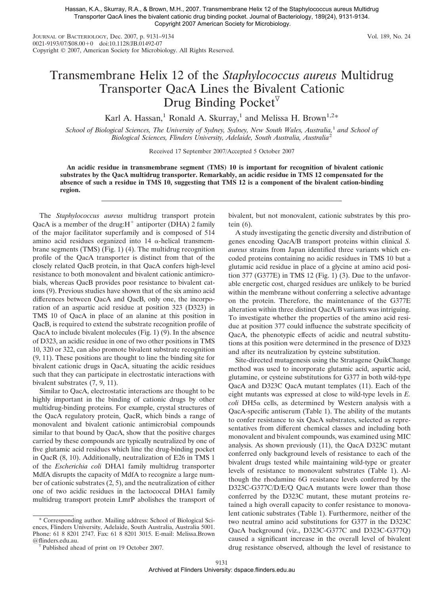Hassan, K.A., Skurray, R.A., & Brown, M.H., 2007. Transmembrane Helix 12 of the Staphylococcus aureus Multidrug Transporter QacA lines the bivalent cationic drug binding pocket. Journal of Bacteriology, 189(24), 9131-9134. Copyright 2007 American Society for Microbiology.

JOURNAL OF BACTERIOLOGY, Dec. 2007, p. 9131–9134 Vol. 189, No. 24 0021-9193/07/\$08.00+0 doi:10.1128/JB.01492-07 Copyright © 2007, American Society for Microbiology. All Rights Reserved.

## Transmembrane Helix 12 of the *Staphylococcus aureus* Multidrug Transporter QacA Lines the Bivalent Cationic Drug Binding Pocket

Karl A. Hassan,<sup>1</sup> Ronald A. Skurray,<sup>1</sup> and Melissa H. Brown<sup>1,2\*</sup>

*School of Biological Sciences, The University of Sydney, Sydney, New South Wales, Australia,*<sup>1</sup> *and School of Biological Sciences, Flinders University, Adelaide, South Australia, Australia*<sup>2</sup>

Received 17 September 2007/Accepted 5 October 2007

**An acidic residue in transmembrane segment (TMS) 10 is important for recognition of bivalent cationic substrates by the QacA multidrug transporter. Remarkably, an acidic residue in TMS 12 compensated for the absence of such a residue in TMS 10, suggesting that TMS 12 is a component of the bivalent cation-binding region.**

The *Staphylococcus aureus* multidrug transport protein QacA is a member of the drug: $H^+$  antiporter (DHA) 2 family of the major facilitator superfamily and is composed of 514 amino acid residues organized into  $14 \alpha$ -helical transmembrane segments (TMS) (Fig. 1) (4). The multidrug recognition profile of the QacA transporter is distinct from that of the closely related QacB protein, in that QacA confers high-level resistance to both monovalent and bivalent cationic antimicrobials, whereas QacB provides poor resistance to bivalent cations (9). Previous studies have shown that of the six amino acid differences between QacA and QacB, only one, the incorporation of an aspartic acid residue at position 323 (D323) in TMS 10 of QacA in place of an alanine at this position in QacB, is required to extend the substrate recognition profile of QacA to include bivalent molecules (Fig. 1) (9). In the absence of D323, an acidic residue in one of two other positions in TMS 10, 320 or 322, can also promote bivalent substrate recognition (9, 11). These positions are thought to line the binding site for bivalent cationic drugs in QacA, situating the acidic residues such that they can participate in electrostatic interactions with bivalent substrates (7, 9, 11).

Similar to QacA, electrostatic interactions are thought to be highly important in the binding of cationic drugs by other multidrug-binding proteins. For example, crystal structures of the QacA regulatory protein, QacR, which binds a range of monovalent and bivalent cationic antimicrobial compounds similar to that bound by QacA, show that the positive charges carried by these compounds are typically neutralized by one of five glutamic acid residues which line the drug-binding pocket in QacR (8, 10). Additionally, neutralization of E26 in TMS 1 of the *Escherichia coli* DHA1 family multidrug transporter MdfA disrupts the capacity of MdfA to recognize a large number of cationic substrates (2, 5), and the neutralization of either one of two acidic residues in the lactococcal DHA1 family multidrug transport protein LmrP abolishes the transport of

\* Corresponding author. Mailing address: School of Biological Sciences, Flinders University, Adelaide, South Australia, Australia 5001. Phone: 61 8 8201 2747. Fax: 61 8 8201 3015. E-mail: Melissa.Brown bivalent, but not monovalent, cationic substrates by this protein (6).

A study investigating the genetic diversity and distribution of genes encoding QacA/B transport proteins within clinical *S. aureus* strains from Japan identified three variants which encoded proteins containing no acidic residues in TMS 10 but a glutamic acid residue in place of a glycine at amino acid position 377 (G377E) in TMS 12 (Fig. 1) (3). Due to the unfavorable energetic cost, charged residues are unlikely to be buried within the membrane without conferring a selective advantage on the protein. Therefore, the maintenance of the G377E alteration within three distinct QacA/B variants was intriguing. To investigate whether the properties of the amino acid residue at position 377 could influence the substrate specificity of QacA, the phenotypic effects of acidic and neutral substitutions at this position were determined in the presence of D323 and after its neutralization by cysteine substitution.

Site-directed mutagenesis using the Stratagene QuikChange method was used to incorporate glutamic acid, aspartic acid, glutamine, or cysteine substitutions for G377 in both wild-type QacA and D323C QacA mutant templates (11). Each of the eight mutants was expressed at close to wild-type levels in *E. coli* DH5α cells, as determined by Western analysis with a QacA-specific antiserum (Table 1). The ability of the mutants to confer resistance to six QacA substrates, selected as representatives from different chemical classes and including both monovalent and bivalent compounds, was examined using MIC analysis. As shown previously (11), the QacA D323C mutant conferred only background levels of resistance to each of the bivalent drugs tested while maintaining wild-type or greater levels of resistance to monovalent substrates (Table 1). Although the rhodamine 6G resistance levels conferred by the D323C-G377C/D/E/Q QacA mutants were lower than those conferred by the D323C mutant, these mutant proteins retained a high overall capacity to confer resistance to monovalent cationic substrates (Table 1). Furthermore, neither of the two neutral amino acid substitutions for G377 in the D323C QacA background (viz., D323C-G377C and D323C-G377Q) caused a significant increase in the overall level of bivalent drug resistance observed, although the level of resistance to

Published ahead of print on 19 October 2007.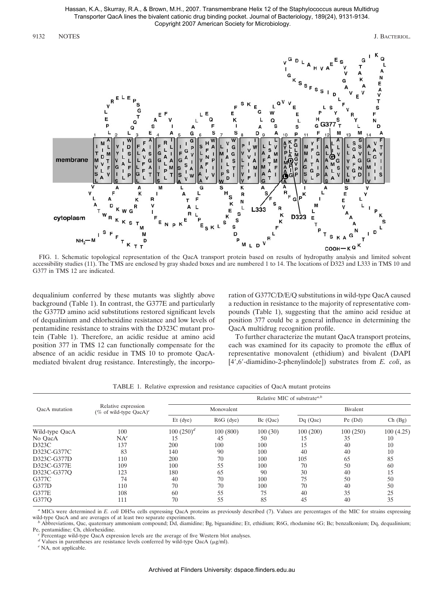Hassan, K.A., Skurray, R.A., & Brown, M.H., 2007. Transmembrane Helix 12 of the Staphylococcus aureus Multidrug Transporter QacA lines the bivalent cationic drug binding pocket. Journal of Bacteriology, 189(24), 9131-9134. Copyright 2007 American Society for Microbiology.

9132 NOTES J. BACTERIOL.



FIG. 1. Schematic topological representation of the QacA transport protein based on results of hydropathy analysis and limited solvent accessibility studies (11). The TMS are enclosed by gray shaded boxes and are numbered 1 to 14. The locations of D323 and L333 in TMS 10 and G377 in TMS 12 are indicated.

dequalinium conferred by these mutants was slightly above background (Table 1). In contrast, the G377E and particularly the G377D amino acid substitutions restored significant levels of dequalinium and chlorhexidine resistance and low levels of pentamidine resistance to strains with the D323C mutant protein (Table 1). Therefore, an acidic residue at amino acid position 377 in TMS 12 can functionally compensate for the absence of an acidic residue in TMS 10 to promote QacAmediated bivalent drug resistance. Interestingly, the incorporation of G377C/D/E/Q substitutions in wild-type QacA caused a reduction in resistance to the majority of representative compounds (Table 1), suggesting that the amino acid residue at position 377 could be a general influence in determining the QacA multidrug recognition profile.

To further characterize the mutant QacA transport proteins, each was examined for its capacity to promote the efflux of representative monovalent (ethidium) and bivalent (DAPI [4',6'-diamidino-2-phenylindole]) substrates from *E. coli*, as

|  | TABLE 1. Relative expression and resistance capacities of QacA mutant proteins |  |  |  |  |
|--|--------------------------------------------------------------------------------|--|--|--|--|
|--|--------------------------------------------------------------------------------|--|--|--|--|

| OacA mutation  | Relative expression<br>(% of wild-type QacA) $c$ | Relative MIC of substrate <sup><i>a,b</i></sup> |             |            |            |           |           |  |
|----------------|--------------------------------------------------|-------------------------------------------------|-------------|------------|------------|-----------|-----------|--|
|                |                                                  | Monovalent                                      |             |            | Bivalent   |           |           |  |
|                |                                                  | $Et$ (dye)                                      | $R6G$ (dye) | $Bc$ (Qac) | $Dq$ (Qac) | $Pe$ (Dd) | Ch (Bg)   |  |
| Wild-type QacA | 100                                              | $100(250)^d$                                    | 100(800)    | 100(30)    | 100(200)   | 100(250)  | 100(4.25) |  |
| No OacA        | $NA^e$                                           | 15                                              | 45          | 50         | 15         | 35        | 10        |  |
| D323C          | 137                                              | 200                                             | 100         | 100        | 15         | 40        | 10        |  |
| D323C-G377C    | 83                                               | 140                                             | 90          | 100        | 40         | 40        | 10        |  |
| D323C-G377D    | 110                                              | 200                                             | 70          | 100        | 105        | 65        | 85        |  |
| D323C-G377E    | 109                                              | 100                                             | 55          | 100        | 70         | 50        | 60        |  |
| D323C-G377O    | 123                                              | 180                                             | 65          | 90         | 30         | 40        | 15        |  |
| G377C          | 74                                               | 40                                              | 70          | 100        | 75         | 50        | 50        |  |
| G377D          | 110                                              | 70                                              | 70          | 100        | 70         | 40        | 50        |  |
| G377E          | 108                                              | 60                                              | 55          | 75         | 40         | 35        | 25        |  |
| G377O          | 111                                              | 70                                              | 55          | 85         | 45         | 40        | 35        |  |

a MICs were determined in *E. coli* DH5α cells expressing QacA proteins as previously described (7). Values are percentages of the MIC for strains expressing wild-type QacA and are averages of at least two separate experiments.<br><sup>b</sup> Abbreviations, Qac, quaternary ammonium compound; Dd, diamidine; Bg, biguanidine; Et, ethidium; R6G, rhodamine 6G; Bc; benzalkonium; Dq, dequalinium

Pe, pentamidine; Ch, chlorhexidine. *<sup>c</sup>* Percentage wild-type QacA expression levels are the average of five Western blot analyses.

*d* Values in parentheses are resistance levels conferred by wild-type QacA ( $\mu$ g/ml). <sup>*e*</sup> NA, not applicable.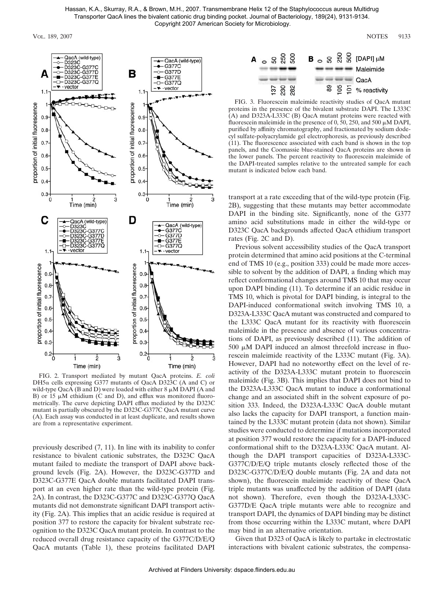

FIG. 2. Transport mediated by mutant QacA proteins. *E. coli* DH5 $\alpha$  cells expressing G377 mutants of QacA D323C (A and C) or wild-type QacA (B and D) were loaded with either  $8 \mu M$  DAPI (A and B) or 15  $\mu$ M ethidium (C and D), and efflux was monitored fluorometrically. The curve depicting DAPI efflux mediated by the D323C mutant is partially obscured by the D323C-G377C QacA mutant curve (A). Each assay was conducted in at least duplicate, and results shown are from a representative experiment.

previously described (7, 11). In line with its inability to confer resistance to bivalent cationic substrates, the D323C QacA mutant failed to mediate the transport of DAPI above background levels (Fig. 2A). However, the D323C-G377D and D323C-G377E QacA double mutants facilitated DAPI transport at an even higher rate than the wild-type protein (Fig. 2A). In contrast, the D323C-G377C and D323C-G377Q QacA mutants did not demonstrate significant DAPI transport activity (Fig. 2A). This implies that an acidic residue is required at position 377 to restore the capacity for bivalent substrate recognition to the D323C QacA mutant protein. In contrast to the reduced overall drug resistance capacity of the G377C/D/E/Q QacA mutants (Table 1), these proteins facilitated DAPI



FIG. 3. Fluorescein maleimide reactivity studies of QacA mutant proteins in the presence of the bivalent substrate DAPI. The L333C (A) and D323A-L333C (B) QacA mutant proteins were reacted with fluorescein maleimide in the presence of 0, 50, 250, and 500  $\mu$ M DAPI, purified by affinity chromatography, and fractionated by sodium dodecyl sulfate-polyacrylamide gel electrophoresis, as previously described (11). The fluorescence associated with each band is shown in the top panels, and the Coomassie blue-stained QacA proteins are shown in the lower panels. The percent reactivity to fluorescein maleimide of the DAPI-treated samples relative to the untreated sample for each mutant is indicated below each band.

transport at a rate exceeding that of the wild-type protein (Fig. 2B), suggesting that these mutants may better accommodate DAPI in the binding site. Significantly, none of the G377 amino acid substitutions made in either the wild-type or D323C QacA backgrounds affected QacA ethidium transport rates (Fig. 2C and D).

Previous solvent accessibility studies of the QacA transport protein determined that amino acid positions at the C-terminal end of TMS 10 (e.g., position 333) could be made more accessible to solvent by the addition of DAPI, a finding which may reflect conformational changes around TMS 10 that may occur upon DAPI binding (11). To determine if an acidic residue in TMS 10, which is pivotal for DAPI binding, is integral to the DAPI-induced conformational switch involving TMS 10, a D323A-L333C QacA mutant was constructed and compared to the L333C QacA mutant for its reactivity with fluorescein maleimide in the presence and absence of various concentrations of DAPI, as previously described (11). The addition of  $500 \mu M$  DAPI induced an almost threefold increase in fluorescein maleimide reactivity of the L333C mutant (Fig. 3A). However, DAPI had no noteworthy effect on the level of reactivity of the D323A-L333C mutant protein to fluorescein maleimide (Fig. 3B). This implies that DAPI does not bind to the D323A-L333C QacA mutant to induce a conformational change and an associated shift in the solvent exposure of position 333. Indeed, the D323A-L333C QacA double mutant also lacks the capacity for DAPI transport, a function maintained by the L333C mutant protein (data not shown). Similar studies were conducted to determine if mutations incorporated at position 377 would restore the capacity for a DAPI-induced conformational shift to the D323A-L333C QacA mutant. Although the DAPI transport capacities of D323A-L333C-G377C/D/E/Q triple mutants closely reflected those of the D323C-G377C/D/E/Q double mutants (Fig. 2A and data not shown), the fluorescein maleimide reactivity of these QacA triple mutants was unaffected by the addition of DAPI (data not shown). Therefore, even though the D323A-L333C-G377D/E QacA triple mutants were able to recognize and transport DAPI, the dynamics of DAPI binding may be distinct from those occurring within the L333C mutant, where DAPI may bind in an alternative orientation.

Given that D323 of QacA is likely to partake in electrostatic interactions with bivalent cationic substrates, the compensa